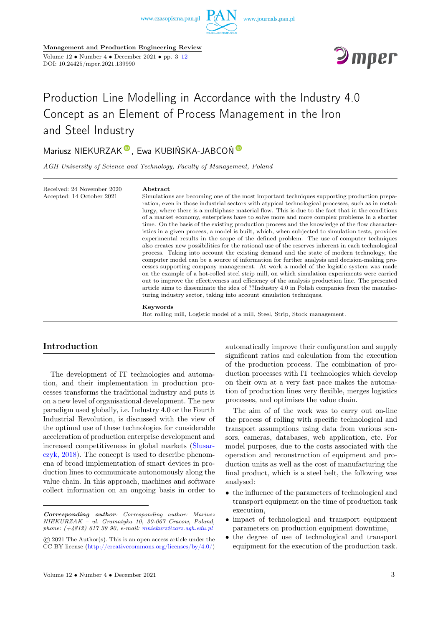

Management and Production Engineering Review Volume  $12 \cdot \text{Number } 4 \cdot \text{December } 2021 \cdot \text{pp. } 3-12$ DOI: 10.24425/mper.2021.139990



# Production Line Modelling in Accordance with the Industry 4.0 Concept as an Element of Process Management in the Iron and Steel Industry

# Mariusz NIEKURZAK<sup>®</sup>[,](https://orcid.org/0000-0003-4966-8389) Ewa KUBI[Ń](https://orcid.org/0000-0001-6376-4006)SKA-JABCOŃ<sup>®</sup>

AGH University of Science and Technology, Faculty of Management, Poland

Received: 24 November 2020 Accepted: 14 October 2021

#### Abstract

Simulations are becoming one of the most important techniques supporting production preparation, even in those industrial sectors with atypical technological processes, such as in metallurgy, where there is a multiphase material flow. This is due to the fact that in the conditions of a market economy, enterprises have to solve more and more complex problems in a shorter time. On the basis of the existing production process and the knowledge of the flow characteristics in a given process, a model is built, which, when subjected to simulation tests, provides experimental results in the scope of the defined problem. The use of computer techniques also creates new possibilities for the rational use of the reserves inherent in each technological process. Taking into account the existing demand and the state of modern technology, the computer model can be a source of information for further analysis and decision-making processes supporting company management. At work a model of the logistic system was made on the example of a hot-rolled steel strip mill, on which simulation experiments were carried out to improve the effectiveness and efficiency of the analysis production line. The presented article aims to disseminate the idea of ??Industry 4.0 in Polish companies from the manufacturing industry sector, taking into account simulation techniques.

Keywords

Hot rolling mill, Logistic model of a mill, Steel, Strip, Stock management.

#### Introduction

The development of IT technologies and automation, and their implementation in production processes transforms the traditional industry and puts it on a new level of organisational development. The new paradigm used globally, i.e. Industry 4.0 or the Fourth Industrial Revolution, is discussed with the view of the optimal use of these technologies for considerable acceleration of production enterprise development and increased competitiveness in global markets [\(Ślusar](#page-8-0)[czyk, 2018\)](#page-8-0). The concept is used to describe phenomena of broad implementation of smart devices in production lines to communicate autonomously along the value chain. In this approach, machines and software collect information on an ongoing basis in order to

automatically improve their configuration and supply significant ratios and calculation from the execution of the production process. The combination of production processes with IT technologies which develop on their own at a very fast pace makes the automation of production lines very flexible, merges logistics processes, and optimises the value chain.

The aim of of the work was to carry out on-line the process of rolling with specific technological and transport assumptions using data from various sensors, cameras, databases, web application, etc. For model purposes, due to the costs associated with the operation and reconstruction of equipment and production units as well as the cost of manufacturing the final product, which is a steel belt, the following was analysed:

- the influence of the parameters of technological and transport equipment on the time of production task execution,
- impact of technological and transport equipment parameters on production equipment downtime,
- the degree of use of technological and transport equipment for the execution of the production task.

Corresponding author: Corresponding author: Mariusz NIEKURZAK – ul. Gramatyka 10, 30-067 Cracow, Poland, phone:  $(+4812)$  617 39 90, e-mail: [mniekurz@zarz.agh.edu.pl](mailto:mniekurz@zarz.agh.edu.pl)

<sup>©</sup> 2021 The Author(s). This is an open access article under the CC BY license [\(http://creativecommons.org/licenses/by/4.0/\)](http://creativecommons.org/licenses/by/4.0/)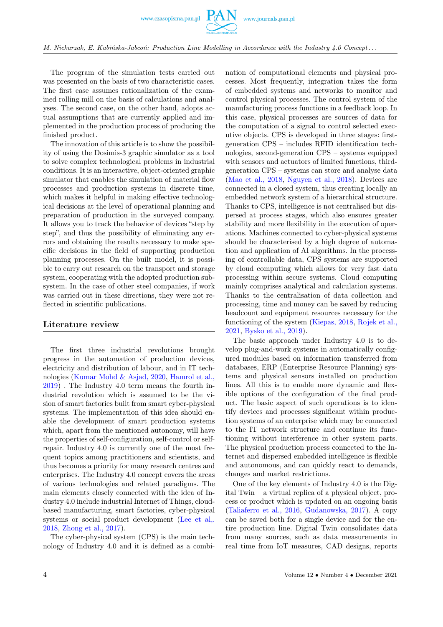

M. Niekurzak, E. Kubińska-Jabcoń: Production Line Modelling in Accordance with the Industry 4.0 Concept . . .

The program of the simulation tests carried out was presented on the basis of two characteristic cases. The first case assumes rationalization of the examined rolling mill on the basis of calculations and analyses. The second case, on the other hand, adopts actual assumptions that are currently applied and implemented in the production process of producing the finished product.

The innovation of this article is to show the possibility of using the Dosimis-3 graphic simulator as a tool to solve complex technological problems in industrial conditions. It is an interactive, object-oriented graphic simulator that enables the simulation of material flow processes and production systems in discrete time, which makes it helpful in making effective technological decisions at the level of operational planning and preparation of production in the surveyed company. It allows you to track the behavior of devices "step by step", and thus the possibility of eliminating any errors and obtaining the results necessary to make specific decisions in the field of supporting production planning processes. On the built model, it is possible to carry out research on the transport and storage system, cooperating with the adopted production subsystem. In the case of other steel companies, if work was carried out in these directions, they were not reflected in scientific publications.

#### Literature review

The first three industrial revolutions brought progress in the automation of production devices, electricity and distribution of labour, and in IT technologies [\(Kumar Mohd & Asjad, 2020,](#page-8-0) [Hamrol et al.,](#page-8-0) [2019\)](#page-8-0) . The Industry 4.0 term means the fourth industrial revolution which is assumed to be the vision of smart factories built from smart cyber-physical systems. The implementation of this idea should enable the development of smart production systems which, apart from the mentioned autonomy, will have the properties of self-configuration, self-control or selfrepair. Industry 4.0 is currently one of the most frequent topics among practitioners and scientists, and thus becomes a priority for many research centres and enterprises. The Industry 4.0 concept covers the areas of various technologies and related paradigms. The main elements closely connected with the idea of Industry 4.0 include industrial Internet of Things, cloudbased manufacturing, smart factories, cyber-physical systems or social product development [\(Lee et al,.](#page-8-0) [2018,](#page-8-0) [Zhong et al., 2017\)](#page-8-0).

The cyber-physical system (CPS) is the main technology of Industry 4.0 and it is defined as a combination of computational elements and physical processes. Most frequently, integration takes the form of embedded systems and networks to monitor and control physical processes. The control system of the manufacturing process functions in a feedback loop. In this case, physical processes are sources of data for the computation of a signal to control selected executive objects. CPS is developed in three stages: firstgeneration CPS – includes RFID identification technologies, second-generation CPS – systems equipped with sensors and actuators of limited functions, thirdgeneration CPS – systems can store and analyse data [\(Mao et al., 2018,](#page-8-0) [Nguyen et al., 2018\)](#page-8-0). Devices are connected in a closed system, thus creating locally an embedded network system of a hierarchical structure. Thanks to CPS, intelligence is not centralised but dispersed at process stages, which also ensures greater stability and more flexibility in the execution of operations. Machines connected to cyber-physical systems should be characterised by a high degree of automation and application of AI algorithms. In the processing of controllable data, CPS systems are supported by cloud computing which allows for very fast data processing within secure systems. Cloud computing mainly comprises analytical and calculation systems. Thanks to the centralisation of data collection and processing, time and money can be saved by reducing headcount and equipment resources necessary for the functioning of the system [\(Kiepas, 2018,](#page-8-0) [Rojek et al.,](#page-8-0) [2021,](#page-8-0) [Bysko et al., 2019\)](#page-8-0).

The basic approach under Industry 4.0 is to develop plug-and-work systems in automatically configured modules based on information transferred from databases, ERP (Enterprise Resource Planning) systems and physical sensors installed on production lines. All this is to enable more dynamic and flexible options of the configuration of the final product. The basic aspect of such operations is to identify devices and processes significant within production systems of an enterprise which may be connected to the IT network structure and continue its functioning without interference in other system parts. The physical production process connected to the Internet and dispersed embedded intelligence is flexible and autonomous, and can quickly react to demands, changes and market restrictions.

One of the key elements of Industry 4.0 is the Digital Twin – a virtual replica of a physical object, process or product which is updated on an ongoing basis [\(Taliaferro et al., 2016,](#page-8-0) [Gudanowska, 2017\)](#page-8-0). A copy can be saved both for a single device and for the entire production line. Digital Twin consolidates data from many sources, such as data measurements in real time from IoT measures, CAD designs, reports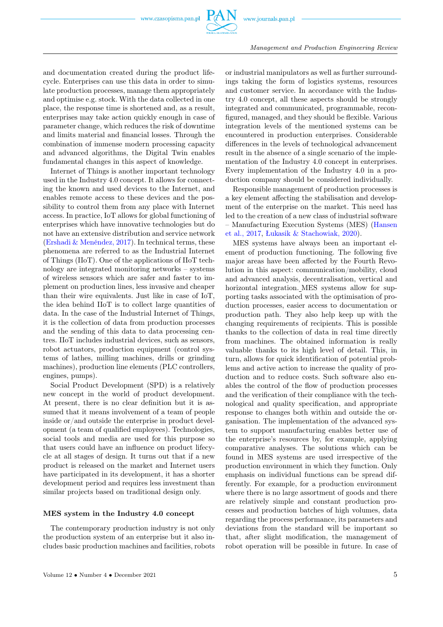

and documentation created during the product lifecycle. Enterprises can use this data in order to simulate production processes, manage them appropriately and optimise e.g. stock. With the data collected in one place, the response time is shortened and, as a result, enterprises may take action quickly enough in case of parameter change, which reduces the risk of downtime and limits material and financial losses. Through the combination of immense modern processing capacity and advanced algorithms, the Digital Twin enables fundamental changes in this aspect of knowledge.

Internet of Things is another important technology used in the Industry 4.0 concept. It allows for connecting the known and used devices to the Internet, and enables remote access to these devices and the possibility to control them from any place with Internet access. In practice, IoT allows for global functioning of enterprises which have innovative technologies but do not have an extensive distribution and service network [\(Ershadi & Menéndez, 2017\)](#page-8-0). In technical terms, these phenomena are referred to as the Industrial Internet of Things (IIoT). One of the applications of IIoT technology are integrated monitoring networks – systems of wireless sensors which are safer and faster to implement on production lines, less invasive and cheaper than their wire equivalents. Just like in case of IoT, the idea behind IIoT is to collect large quantities of data. In the case of the Industrial Internet of Things, it is the collection of data from production processes and the sending of this data to data processing centres. IIoT includes industrial devices, such as sensors, robot actuators, production equipment (control systems of lathes, milling machines, drills or grinding machines), production line elements (PLC controllers, engines, pumps).

Social Product Development (SPD) is a relatively new concept in the world of product development. At present, there is no clear definition but it is assumed that it means involvement of a team of people inside or/and outside the enterprise in product development (a team of qualified employees). Technologies, social tools and media are used for this purpose so that users could have an influence on product lifecycle at all stages of design. It turns out that if a new product is released on the market and Internet users have participated in its development, it has a shorter development period and requires less investment than similar projects based on traditional design only.

#### MES system in the Industry 4.0 concept

The contemporary production industry is not only the production system of an enterprise but it also includes basic production machines and facilities, robots or industrial manipulators as well as further surroundings taking the form of logistics systems, resources and customer service. In accordance with the Industry 4.0 concept, all these aspects should be strongly integrated and communicated, programmable, reconfigured, managed, and they should be flexible. Various integration levels of the mentioned systems can be encountered in production enterprises. Considerable differences in the levels of technological advancement result in the absence of a single scenario of the implementation of the Industry 4.0 concept in enterprises. Every implementation of the Industry 4.0 in a production company should be considered individually.

Responsible management of production processes is a key element affecting the stabilisation and development of the enterprise on the market. This need has led to the creation of a new class of industrial software – Manufacturing Execution Systems (MES) [\(Hansen](#page-8-0) [et al., 2017,](#page-8-0) [Łukasik & Stachowiak, 2020\)](#page-8-0).

MES systems have always been an important element of production functioning. The following five major areas have been affected by the Fourth Revolution in this aspect: communication/mobility, cloud and advanced analysis, decentralisation, vertical and horizontal integration. MES systems allow for supporting tasks associated with the optimisation of production processes, easier access to documentation or production path. They also help keep up with the changing requirements of recipients. This is possible thanks to the collection of data in real time directly from machines. The obtained information is really valuable thanks to its high level of detail. This, in turn, allows for quick identification of potential problems and active action to increase the quality of production and to reduce costs. Such software also enables the control of the flow of production processes and the verification of their compliance with the technological and quality specification, and appropriate response to changes both within and outside the organisation. The implementation of the advanced system to support manufacturing enables better use of the enterprise's resources by, for example, applying comparative analyses. The solutions which can be found in MES systems are used irrespective of the production environment in which they function. Only emphasis on individual functions can be spread differently. For example, for a production environment where there is no large assortment of goods and there are relatively simple and constant production processes and production batches of high volumes, data regarding the process performance, its parameters and deviations from the standard will be important so that, after slight modification, the management of robot operation will be possible in future. In case of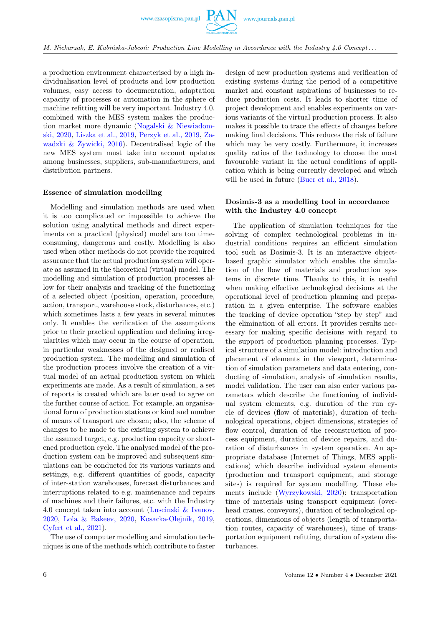a production environment characterised by a high individualisation level of products and low production volumes, easy access to documentation, adaptation capacity of processes or automation in the sphere of machine refitting will be very important. Industry 4.0. combined with the MES system makes the production market more dynamic [\(Nogalski & Niewiadom](#page-8-0)[ski, 2020,](#page-8-0) [Liszka et al., 2019,](#page-8-0) [Perzyk et al., 2019,](#page-8-0) [Za](#page-8-0)[wadzki & Żywicki, 2016\)](#page-8-0). Decentralised logic of the new MES system must take into account updates among businesses, suppliers, sub-manufacturers, and distribution partners.

#### Essence of simulation modelling

Modelling and simulation methods are used when it is too complicated or impossible to achieve the solution using analytical methods and direct experiments on a practical (physical) model are too timeconsuming, dangerous and costly. Modelling is also used when other methods do not provide the required assurance that the actual production system will operate as assumed in the theoretical (virtual) model. The modelling and simulation of production processes allow for their analysis and tracking of the functioning of a selected object (position, operation, procedure, action, transport, warehouse stock, disturbances, etc.) which sometimes lasts a few years in several minutes only. It enables the verification of the assumptions prior to their practical application and defining irregularities which may occur in the course of operation, in particular weaknesses of the designed or realised production system. The modelling and simulation of the production process involve the creation of a virtual model of an actual production system on which experiments are made. As a result of simulation, a set of reports is created which are later used to agree on the further course of action. For example, an organisational form of production stations or kind and number of means of transport are chosen; also, the scheme of changes to be made to the existing system to achieve the assumed target, e.g. production capacity or shortened production cycle. The analysed model of the production system can be improved and subsequent simulations can be conducted for its various variants and settings, e.g. different quantities of goods, capacity of inter-station warehouses, forecast disturbances and interruptions related to e.g. maintenance and repairs of machines and their failures, etc. with the Industry 4.0 concept taken into account [\(Luscinski & Ivanov,](#page-8-0) [2020,](#page-8-0) [Lola & Bakeev, 2020,](#page-8-0) [Kosacka-Olejnik, 2019,](#page-8-0) [Cyfert et al., 2021\)](#page-8-0).

The use of computer modelling and simulation techniques is one of the methods which contribute to faster design of new production systems and verification of existing systems during the period of a competitive market and constant aspirations of businesses to reduce production costs. It leads to shorter time of project development and enables experiments on various variants of the virtual production process. It also makes it possible to trace the effects of changes before making final decisions. This reduces the risk of failure which may be very costly. Furthermore, it increases quality ratios of the technology to choose the most favourable variant in the actual conditions of application which is being currently developed and which will be used in future [\(Buer et al., 2018\)](#page-8-0).

#### Dosimis-3 as a modelling tool in accordance with the Industry 4.0 concept

The application of simulation techniques for the solving of complex technological problems in industrial conditions requires an efficient simulation tool such as Dosimis-3. It is an interactive objectbased graphic simulator which enables the simulation of the flow of materials and production systems in discrete time. Thanks to this, it is useful when making effective technological decisions at the operational level of production planning and preparation in a given enterprise. The software enables the tracking of device operation "step by step" and the elimination of all errors. It provides results necessary for making specific decisions with regard to the support of production planning processes. Typical structure of a simulation model: introduction and placement of elements in the viewport, determination of simulation parameters and data entering, conducting of simulation, analysis of simulation results, model validation. The user can also enter various parameters which describe the functioning of individual system elements, e.g. duration of the run cycle of devices (flow of materials), duration of technological operations, object dimensions, strategies of flow control, duration of the reconstruction of process equipment, duration of device repairs, and duration of disturbances in system operation. An appropriate database (Internet of Things, MES applications) which describe individual system elements (production and transport equipment, and storage sites) is required for system modelling. These elements include [\(Wyrzykowski, 2020\)](#page-8-0): transportation time of materials using transport equipment (overhead cranes, conveyors), duration of technological operations, dimensions of objects (length of transportation routes, capacity of warehouses), time of transportation equipment refitting, duration of system disturbances.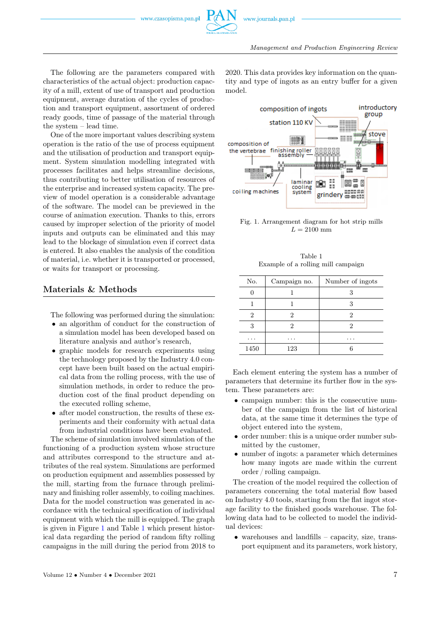Management and Production Engineering Review

The following are the parameters compared with characteristics of the actual object: production capacity of a mill, extent of use of transport and production equipment, average duration of the cycles of production and transport equipment, assortment of ordered ready goods, time of passage of the material through the system – lead time.

One of the more important values describing system operation is the ratio of the use of process equipment and the utilisation of production and transport equipment. System simulation modelling integrated with processes facilitates and helps streamline decisions, thus contributing to better utilisation of resources of the enterprise and increased system capacity. The preview of model operation is a considerable advantage of the software. The model can be previewed in the course of animation execution. Thanks to this, errors caused by improper selection of the priority of model inputs and outputs can be eliminated and this may lead to the blockage of simulation even if correct data is entered. It also enables the analysis of the condition of material, i.e. whether it is transported or processed, or waits for transport or processing.

#### Materials & Methods

The following was performed during the simulation:

- an algorithm of conduct for the construction of a simulation model has been developed based on literature analysis and author's research,
- graphic models for research experiments using the technology proposed by the Industry 4.0 concept have been built based on the actual empirical data from the rolling process, with the use of simulation methods, in order to reduce the production cost of the final product depending on the executed rolling scheme,
- after model construction, the results of these experiments and their conformity with actual data from industrial conditions have been evaluated.

The scheme of simulation involved simulation of the functioning of a production system whose structure and attributes correspond to the structure and attributes of the real system. Simulations are performed on production equipment and assemblies possessed by the mill, starting from the furnace through preliminary and finishing roller assembly, to coiling machines. Data for the model construction was generated in accordance with the technical specification of individual equipment with which the mill is equipped. The graph is given in Figure [1](#page-4-0) and Table [1](#page-4-1) which present historical data regarding the period of random fifty rolling campaigns in the mill during the period from 2018 to

2020. This data provides key information on the quantity and type of ingots as an entry buffer for a given model.

<span id="page-4-0"></span>

Fig. 1. Arrangement diagram for hot strip mills  $L = 2100$  mm

|  | Table 1 |                                    |
|--|---------|------------------------------------|
|  |         | Example of a rolling mill campaign |

<span id="page-4-1"></span>

| No.  | Campaign no.         | Number of ingots |
|------|----------------------|------------------|
|      |                      |                  |
|      |                      |                  |
| 2    | 2                    | '2               |
| 3    |                      | 2                |
| .    | $\ddot{\phantom{1}}$ | . .              |
| 1450 | 123                  |                  |

Each element entering the system has a number of parameters that determine its further flow in the system. These parameters are:

- campaign number: this is the consecutive number of the campaign from the list of historical data, at the same time it determines the type of object entered into the system,
- order number: this is a unique order number submitted by the customer,
- number of ingots: a parameter which determines how many ingots are made within the current order / rolling campaign.

The creation of the model required the collection of parameters concerning the total material flow based on Industry 4.0 tools, starting from the flat ingot storage facility to the finished goods warehouse. The following data had to be collected to model the individual devices:

• warehouses and landfills – capacity, size, transport equipment and its parameters, work history,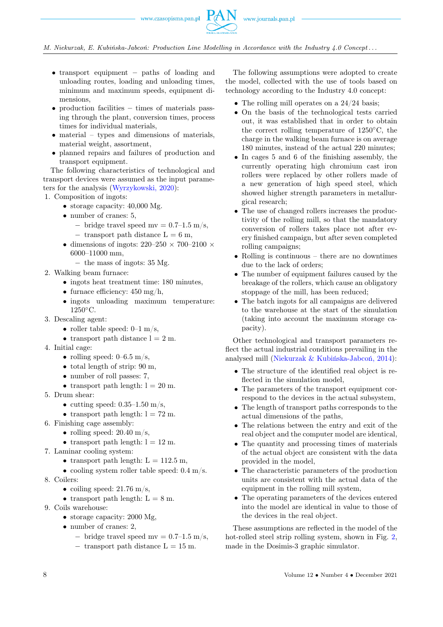

M. Niekurzak, E. Kubińska-Jabcoń: Production Line Modelling in Accordance with the Industry 4.0 Concept . . .

- transport equipment paths of loading and unloading routes, loading and unloading times, minimum and maximum speeds, equipment dimensions,
- production facilities times of materials passing through the plant, conversion times, process times for individual materials,
- material types and dimensions of materials, material weight, assortment,
- planned repairs and failures of production and transport equipment.

The following characteristics of technological and transport devices were assumed as the input parameters for the analysis [\(Wyrzykowski, 2020\)](#page-8-0):

1. Composition of ingots:

- storage capacity:  $40,000$  Mg.
- number of cranes: 5,
	- $-$  bridge travel speed mv = 0.7–1.5 m/s,  $-$  transport path distance  $L = 6$  m,
- dimensions of ingots:  $220-250 \times 700-2100 \times$ 6000–11000 mm,
	- − the mass of ingots: 35 Mg.
- 2. Walking beam furnace:
	- ingots heat treatment time: 180 minutes,
	- furnace efficiency:  $450 \text{ mg/h}$ ,
	- ingots unloading maximum temperature: 1250◦C.
- 3. Descaling agent:
	- roller table speed:  $0-1$  m/s,
	- transport path distance  $l = 2$  m.
- 4. Initial cage:
	- rolling speed:  $0-6.5$  m/s,
	- total length of strip: 90 m,
	- number of roll passes: 7,
	- transport path length:  $l = 20$  m.
- 5. Drum shear:
	- cutting speed:  $0.35-1.50$  m/s,
	- transport path length:  $l = 72$  m.
- 6. Finishing cage assembly:
	- rolling speed:  $20.40 \text{ m/s}$ ,
	- transport path length:  $l = 12$  m.
- 7. Laminar cooling system:
	- transport path length:  $L = 112.5$  m,
	- cooling system roller table speed:  $0.4 \text{ m/s}$ .
- 8. Coilers:
	- coiling speed:  $21.76 \text{ m/s}$ ,
	- transport path length:  $L = 8$  m.
- 9. Coils warehouse:
	- storage capacity: 2000 Mg,
	- number of cranes: 2,
		- $-$  bridge travel speed mv = 0.7–1.5 m/s,
		- $-$  transport path distance  $L = 15$  m.

The following assumptions were adopted to create the model, collected with the use of tools based on technology according to the Industry 4.0 concept:

- The rolling mill operates on a  $24/24$  basis;
- On the basis of the technological tests carried out, it was established that in order to obtain the correct rolling temperature of 1250◦C, the charge in the walking beam furnace is on average 180 minutes, instead of the actual 220 minutes;
- In cages 5 and 6 of the finishing assembly, the currently operating high chromium cast iron rollers were replaced by other rollers made of a new generation of high speed steel, which showed higher strength parameters in metallurgical research;
- The use of changed rollers increases the productivity of the rolling mill, so that the mandatory conversion of rollers takes place not after every finished campaign, but after seven completed rolling campaigns;
- Rolling is continuous there are no downtimes due to the lack of orders;
- The number of equipment failures caused by the breakage of the rollers, which cause an obligatory stoppage of the mill, has been reduced;
- The batch ingots for all campaigns are delivered to the warehouse at the start of the simulation (taking into account the maximum storage capacity).

Other technological and transport parameters reflect the actual industrial conditions prevailing in the analysed mill [\(Niekurzak & Kubińska-Jabcoń, 2014\)](#page-8-0):

- The structure of the identified real object is reflected in the simulation model,
- The parameters of the transport equipment correspond to the devices in the actual subsystem,
- The length of transport paths corresponds to the actual dimensions of the paths,
- The relations between the entry and exit of the real object and the computer model are identical,
- The quantity and processing times of materials of the actual object are consistent with the data provided in the model,
- The characteristic parameters of the production units are consistent with the actual data of the equipment in the rolling mill system,
- The operating parameters of the devices entered into the model are identical in value to those of the devices in the real object.

These assumptions are reflected in the model of the hot-rolled steel strip rolling system, shown in Fig. 2. made in the Dosimis-3 graphic simulator.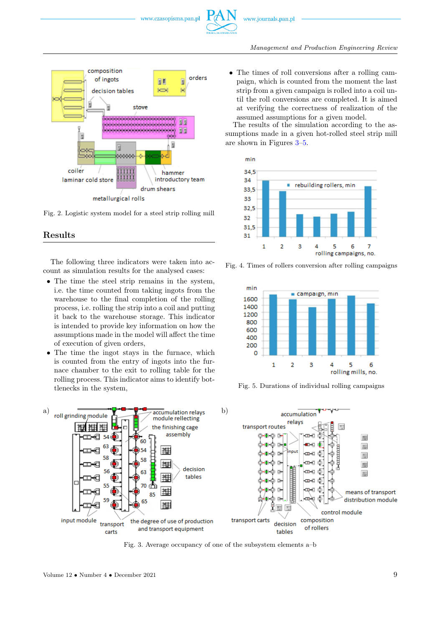

<span id="page-6-0"></span>

Fig. 2. Logistic system model for a steel strip rolling mill

#### Results

The following three indicators were taken into account as simulation results for the analysed cases:

- The time the steel strip remains in the system, i.e. the time counted from taking ingots from the warehouse to the final completion of the rolling process, i.e. rolling the strip into a coil and putting it back to the warehouse storage. This indicator is intended to provide key information on how the assumptions made in the model will affect the time of execution of given orders,
- The time the ingot stays in the furnace, which is counted from the entry of ingots into the furnace chamber to the exit to rolling table for the rolling process. This indicator aims to identify bottlenecks in the system,

• The times of roll conversions after a rolling campaign, which is counted from the moment the last strip from a given campaign is rolled into a coil until the roll conversions are completed. It is aimed at verifying the correctness of realization of the assumed assumptions for a given model.

The results of the simulation according to the assumptions made in a given hot-rolled steel strip mill are shown in Figures [3–](#page-6-1)[5.](#page-6-2)

<span id="page-6-2"></span>

Fig. 4. Times of rollers conversion after rolling campaigns



Fig. 5. Durations of individual rolling campaigns

<span id="page-6-1"></span>

Fig. 3. Average occupancy of one of the subsystem elements a–b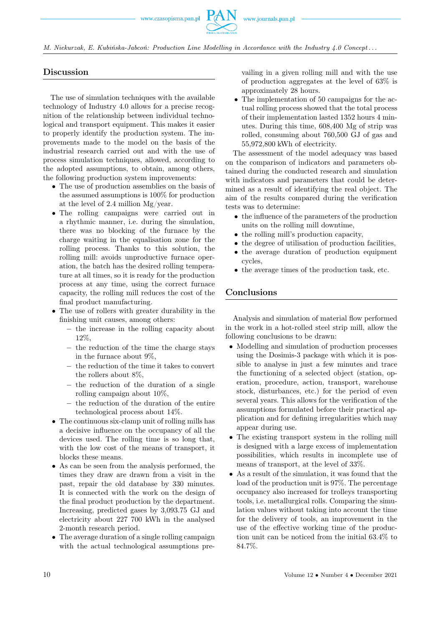

M. Niekurzak, E. Kubińska-Jabcoń: Production Line Modelling in Accordance with the Industry 4.0 Concept . . .

### Discussion

The use of simulation techniques with the available technology of Industry 4.0 allows for a precise recognition of the relationship between individual technological and transport equipment. This makes it easier to properly identify the production system. The improvements made to the model on the basis of the industrial research carried out and with the use of process simulation techniques, allowed, according to the adopted assumptions, to obtain, among others, the following production system improvements:

- The use of production assemblies on the basis of the assumed assumptions is 100% for production at the level of 2.4 million Mg/year.
- The rolling campaigns were carried out in a rhythmic manner, i.e. during the simulation, there was no blocking of the furnace by the charge waiting in the equalisation zone for the rolling process. Thanks to this solution, the rolling mill: avoids unproductive furnace operation, the batch has the desired rolling temperature at all times, so it is ready for the production process at any time, using the correct furnace capacity, the rolling mill reduces the cost of the final product manufacturing.
- The use of rollers with greater durability in the finishing unit causes, among others:
	- − the increase in the rolling capacity about 12%,
	- − the reduction of the time the charge stays in the furnace about 9%,
	- − the reduction of the time it takes to convert the rollers about 8%,
	- − the reduction of the duration of a single rolling campaign about 10%,
	- − the reduction of the duration of the entire technological process about 14%.
- The continuous six-clamp unit of rolling mills has a decisive influence on the occupancy of all the devices used. The rolling time is so long that, with the low cost of the means of transport, it blocks these means.
- As can be seen from the analysis performed, the times they draw are drawn from a visit in the past, repair the old database by 330 minutes. It is connected with the work on the design of the final product production by the department. Increasing, predicted gases by 3,093.75 GJ and electricity about 227 700 kWh in the analysed 2-month research period.
- The average duration of a single rolling campaign with the actual technological assumptions pre-

vailing in a given rolling mill and with the use of production aggregates at the level of 63% is approximately 28 hours.

• The implementation of 50 campaigns for the actual rolling process showed that the total process of their implementation lasted 1352 hours 4 minutes. During this time, 608,400 Mg of strip was rolled, consuming about 760,500 GJ of gas and 55,972,800 kWh of electricity.

The assessment of the model adequacy was based on the comparison of indicators and parameters obtained during the conducted research and simulation with indicators and parameters that could be determined as a result of identifying the real object. The aim of the results compared during the verification tests was to determine:

- the influence of the parameters of the production units on the rolling mill downtime,
- the rolling mill's production capacity,
- the degree of utilisation of production facilities,
- the average duration of production equipment cycles,
- the average times of the production task, etc.

## Conclusions

Analysis and simulation of material flow performed in the work in a hot-rolled steel strip mill, allow the following conclusions to be drawn:

- Modelling and simulation of production processes using the Dosimis-3 package with which it is possible to analyse in just a few minutes and trace the functioning of a selected object (station, operation, procedure, action, transport, warehouse stock, disturbances, etc.) for the period of even several years. This allows for the verification of the assumptions formulated before their practical application and for defining irregularities which may appear during use.
- The existing transport system in the rolling mill is designed with a large excess of implementation possibilities, which results in incomplete use of means of transport, at the level of 33%.
- As a result of the simulation, it was found that the load of the production unit is 97%. The percentage occupancy also increased for trolleys transporting tools, i.e. metallurgical rolls. Comparing the simulation values without taking into account the time for the delivery of tools, an improvement in the use of the effective working time of the production unit can be noticed from the initial 63.4% to 84.7%.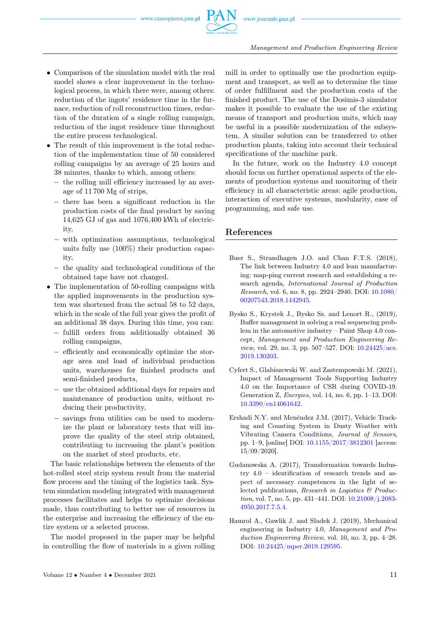

- Comparison of the simulation model with the real model shows a clear improvement in the technological process, in which there were, among others: reduction of the ingots' residence time in the furnace, reduction of roll reconstruction times, reduction of the duration of a single rolling campaign, reduction of the ingot residence time throughout the entire process technological.
- The result of this improvement is the total reduction of the implementation time of 50 considered rolling campaigns by an average of 25 hours and 38 minutes, thanks to which, among others:
	- − the rolling mill efficiency increased by an average of 11 700 Mg of strips,
	- − there has been a significant reduction in the production costs of the final product by saving 14,625 GJ of gas and 1076,400 kWh of electricity,
	- − with optimization assumptions, technological units fully use (100%) their production capacity,
	- − the quality and technological conditions of the obtained tape have not changed.
- The implementation of 50-rolling campaigns with the applied improvements in the production system was shortened from the actual 58 to 52 days, which in the scale of the full year gives the profit of an additional 38 days. During this time, you can:
	- − fulfill orders from additionally obtained 36 rolling campaigns,
	- − efficiently and economically optimize the storage area and load of individual production units, warehouses for finished products and semi-finished products,
	- − use the obtained additional days for repairs and maintenance of production units, without reducing their productivity,
	- − savings from utilities can be used to modernize the plant or laboratory tests that will improve the quality of the steel strip obtained, contributing to increasing the plant's position on the market of steel products, etc.

The basic relationships between the elements of the hot-rolled steel strip system result from the material flow process and the timing of the logistics task. System simulation modeling integrated with management processes facilitates and helps to optimize decisions made, thus contributing to better use of resources in the enterprise and increasing the efficiency of the entire system or a selected process.

The model proposed in the paper may be helpful in controlling the flow of materials in a given rolling mill in order to optimally use the production equipment and transport, as well as to determine the time of order fulfillment and the production costs of the finished product. The use of the Dosimis-3 simulator makes it possible to evaluate the use of the existing means of transport and production units, which may be useful in a possible modernization of the subsystem. A similar solution can be transferred to other production plants, taking into account their technical specifications of the machine park.

In the future, work on the Industry 4.0 concept should focus on further operational aspects of the elements of production systems and monitoring of their efficiency in all characteristic areas: agile production, interaction of executive systems, modularity, ease of programming, and safe use.

#### <span id="page-8-0"></span>References

- Buer S., Strandhagen J.O. and Chan F.T.S. (2018), The link between Industry 4.0 and lean manufacturing: map-ping current research and establishing a research agenda, International Journal of Production Research, vol. 6, no. 8, pp. 2924–2940. DOI: [10.1080/](https://doi.org/10.1080/00207543.2018.1442945) [00207543.2018.1442945.](https://doi.org/10.1080/00207543.2018.1442945)
- Bysko S., Krystek J., Bysko Sz. and Lenort R., (2019), Buffer management in solving a real sequencing problem in the automotive industry – Paint Shop 4.0 concept, Management and Production Engineering Review, vol. 29, no. 3, pp. 507–527. DOI: [10.24425/acs.](https://doi.org/10.24425/acs.2019.130203) [2019.130203.](https://doi.org/10.24425/acs.2019.130203)
- Cyfert S., Glabiszewski W. and Zastempowski M. (2021), Impact of Management Tools Supporting Industry 4.0 on the Importance of CSR during COVID-19. Generation Z, Energies, vol. 14, no. 6, pp. 1–13. DOI: [10.3390/en14061642.](https://doi.org/10.3390/en14061642)
- Ershadi N.Y. and Menéndez J.M. (2017), Vehicle Tracking and Counting System in Dusty Weather with Vibrating Camera Conditions, Journal of Sensors, pp. 1–9, [online] DOI: [10.1155/2017/3812301](https://doi.org/10.1155/2017/3812301) [access: 15/09/2020].
- Gudanowska A. (2017), Transformation towards Industry 4.0 – identification of research trends and aspect of necessary competences in the light of selected publications, Research in Logistics  $\mathcal{B}$  Production, vol. 7, no. 5, pp. 431–441. DOI: [10.21008/j.2083-](https://doi.org/10.21008/j.2083-4950.2017.7.5.4) [4950.2017.7.5.4.](https://doi.org/10.21008/j.2083-4950.2017.7.5.4)
- Hamrol A., Gawlik J. and Sładek J. (2019), Mechanical engineering in Industry 4.0, Management and Production Engineering Review, vol. 10, no. 3, pp. 4–28. DOI: [10.24425/mper.2019.129595.](https://doi.org/10.24425/mper.2019.129595)